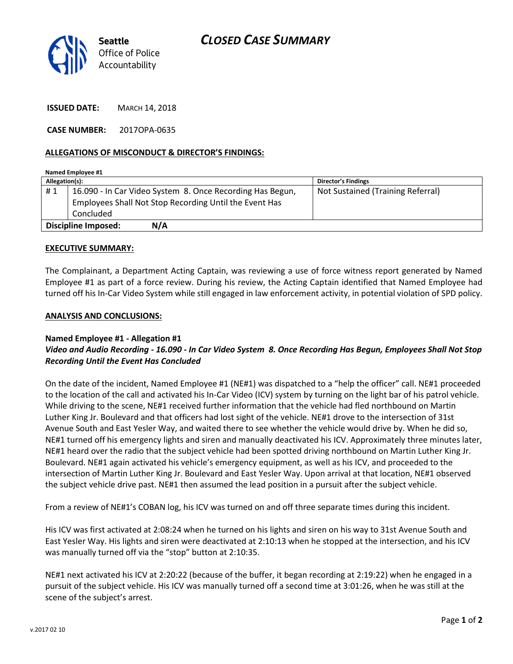

**ISSUED DATE:** MARCH 14, 2018

**CASE NUMBER:** 2017OPA-0635

## **ALLEGATIONS OF MISCONDUCT & DIRECTOR'S FINDINGS:**

| Named Employee #1          |                                                           |                                   |
|----------------------------|-----------------------------------------------------------|-----------------------------------|
| Allegation(s):             |                                                           | <b>Director's Findings</b>        |
| #1                         | 16.090 - In Car Video System 8. Once Recording Has Begun, | Not Sustained (Training Referral) |
|                            | Employees Shall Not Stop Recording Until the Event Has    |                                   |
|                            | Concluded                                                 |                                   |
| N/A<br>Discipline Imposed: |                                                           |                                   |

### **EXECUTIVE SUMMARY:**

The Complainant, a Department Acting Captain, was reviewing a use of force witness report generated by Named Employee #1 as part of a force review. During his review, the Acting Captain identified that Named Employee had turned off his In-Car Video System while still engaged in law enforcement activity, in potential violation of SPD policy.

### **ANALYSIS AND CONCLUSIONS:**

## **Named Employee #1 - Allegation #1**

## *Video and Audio Recording - 16.090 - In Car Video System 8. Once Recording Has Begun, Employees Shall Not Stop Recording Until the Event Has Concluded*

On the date of the incident, Named Employee #1 (NE#1) was dispatched to a "help the officer" call. NE#1 proceeded to the location of the call and activated his In-Car Video (ICV) system by turning on the light bar of his patrol vehicle. While driving to the scene, NE#1 received further information that the vehicle had fled northbound on Martin Luther King Jr. Boulevard and that officers had lost sight of the vehicle. NE#1 drove to the intersection of 31st Avenue South and East Yesler Way, and waited there to see whether the vehicle would drive by. When he did so, NE#1 turned off his emergency lights and siren and manually deactivated his ICV. Approximately three minutes later, NE#1 heard over the radio that the subject vehicle had been spotted driving northbound on Martin Luther King Jr. Boulevard. NE#1 again activated his vehicle's emergency equipment, as well as his ICV, and proceeded to the intersection of Martin Luther King Jr. Boulevard and East Yesler Way. Upon arrival at that location, NE#1 observed the subject vehicle drive past. NE#1 then assumed the lead position in a pursuit after the subject vehicle.

From a review of NE#1's COBAN log, his ICV was turned on and off three separate times during this incident.

His ICV was first activated at 2:08:24 when he turned on his lights and siren on his way to 31st Avenue South and East Yesler Way. His lights and siren were deactivated at 2:10:13 when he stopped at the intersection, and his ICV was manually turned off via the "stop" button at 2:10:35.

NE#1 next activated his ICV at 2:20:22 (because of the buffer, it began recording at 2:19:22) when he engaged in a pursuit of the subject vehicle. His ICV was manually turned off a second time at 3:01:26, when he was still at the scene of the subject's arrest.